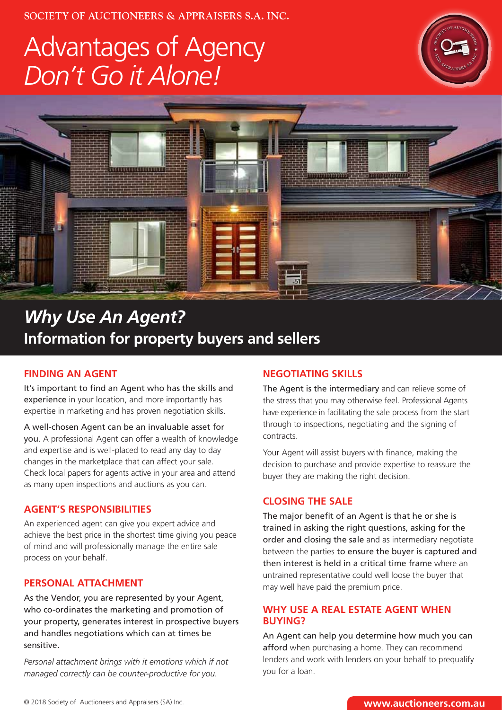**SOCIETY OF AUCTIONEERS & APPRAISERS S.A. INC.**

## Advantages of Agency *Don't Go it Alone!*





### *Why Use An Agent?* **Information for property buyers and sellers**

#### **FINDING AN AGENT**

It's important to find an Agent who has the skills and experience in your location, and more importantly has expertise in marketing and has proven negotiation skills.

A well-chosen Agent can be an invaluable asset for you. A professional Agent can offer a wealth of knowledge and expertise and is well-placed to read any day to day changes in the marketplace that can affect your sale. Check local papers for agents active in your area and attend as many open inspections and auctions as you can.

#### **AGENT'S RESPONSIBILITIES**

An experienced agent can give you expert advice and achieve the best price in the shortest time giving you peace of mind and will professionally manage the entire sale process on your behalf.

#### **PERSONAL ATTACHMENT**

As the Vendor, you are represented by your Agent, who co-ordinates the marketing and promotion of your property, generates interest in prospective buyers and handles negotiations which can at times be sensitive.

*Personal attachment brings with it emotions which if not managed correctly can be counter-productive for you.*

#### **NEGOTIATING SKILLS**

The Agent is the intermediary and can relieve some of the stress that you may otherwise feel. Professional Agents have experience in facilitating the sale process from the start through to inspections, negotiating and the signing of contracts.

Your Agent will assist buyers with finance, making the decision to purchase and provide expertise to reassure the buyer they are making the right decision.

#### **CLOSING THE SALE**

The major benefit of an Agent is that he or she is trained in asking the right questions, asking for the order and closing the sale and as intermediary negotiate between the parties to ensure the buyer is captured and then interest is held in a critical time frame where an untrained representative could well loose the buyer that may well have paid the premium price.

#### **WHY USE A REAL ESTATE AGENT WHEN BUYING?**

An Agent can help you determine how much you can afford when purchasing a home. They can recommend lenders and work with lenders on your behalf to prequalify you for a loan.